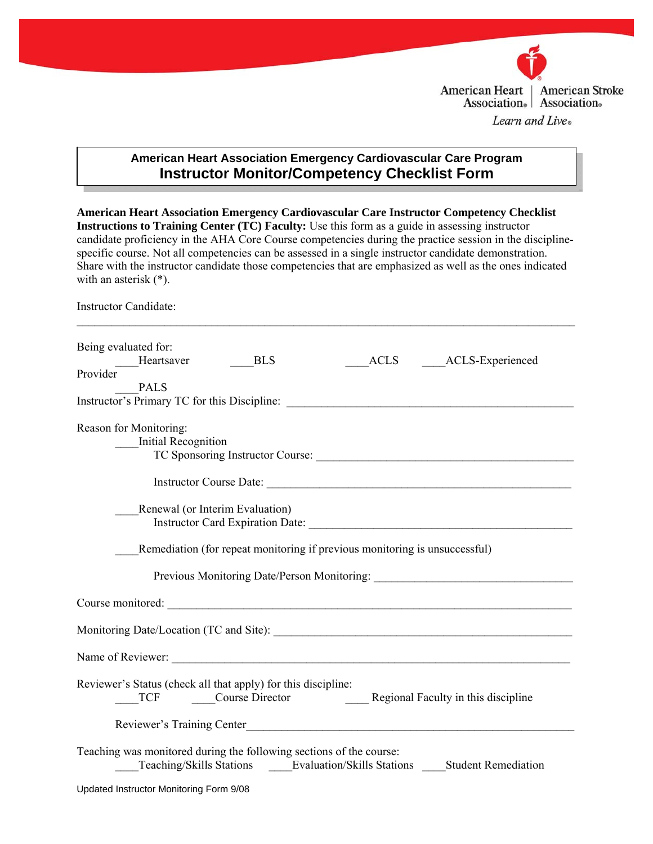

## **American Heart Association Emergency Cardiovascular Care Program Instructor Monitor/Competency Checklist Form**

**American Heart Association Emergency Cardiovascular Care Instructor Competency Checklist Instructions to Training Center (TC) Faculty:** Use this form as a guide in assessing instructor candidate proficiency in the AHA Core Course competencies during the practice session in the disciplinespecific course. Not all competencies can be assessed in a single instructor candidate demonstration. Share with the instructor candidate those competencies that are emphasized as well as the ones indicated with an asterisk (\*).

Instructor Candidate:

| Being evaluated for:<br>ACLS ACLS-Experienced<br>Heartsaver<br><b>BLS</b><br>Provider<br><b>PALS</b>                                                                                                                           |
|--------------------------------------------------------------------------------------------------------------------------------------------------------------------------------------------------------------------------------|
|                                                                                                                                                                                                                                |
| Reason for Monitoring:<br><b>Initial Recognition</b>                                                                                                                                                                           |
| Instructor Course Date:                                                                                                                                                                                                        |
| Renewal (or Interim Evaluation)                                                                                                                                                                                                |
| Remediation (for repeat monitoring if previous monitoring is unsuccessful)                                                                                                                                                     |
| Previous Monitoring Date/Person Monitoring: National Account of the Monitoring Services of the Monitoring Services of the Monitoring Services of the Monitoring Services of the Monitoring Services of the Monitoring Services |
| Course monitored:<br><u> Course</u> monitored:                                                                                                                                                                                 |
| Monitoring Date/Location (TC and Site): Monitoring Date/Location (TC and Site):                                                                                                                                                |
|                                                                                                                                                                                                                                |
| Reviewer's Status (check all that apply) for this discipline:<br>Course Director<br>Regional Faculty in this discipline<br><b>TCF</b>                                                                                          |
|                                                                                                                                                                                                                                |
| Teaching was monitored during the following sections of the course:<br>Teaching/Skills Stations Evaluation/Skills Stations Student Remediation                                                                                 |
| Updated Instructor Monitoring Form 9/08                                                                                                                                                                                        |